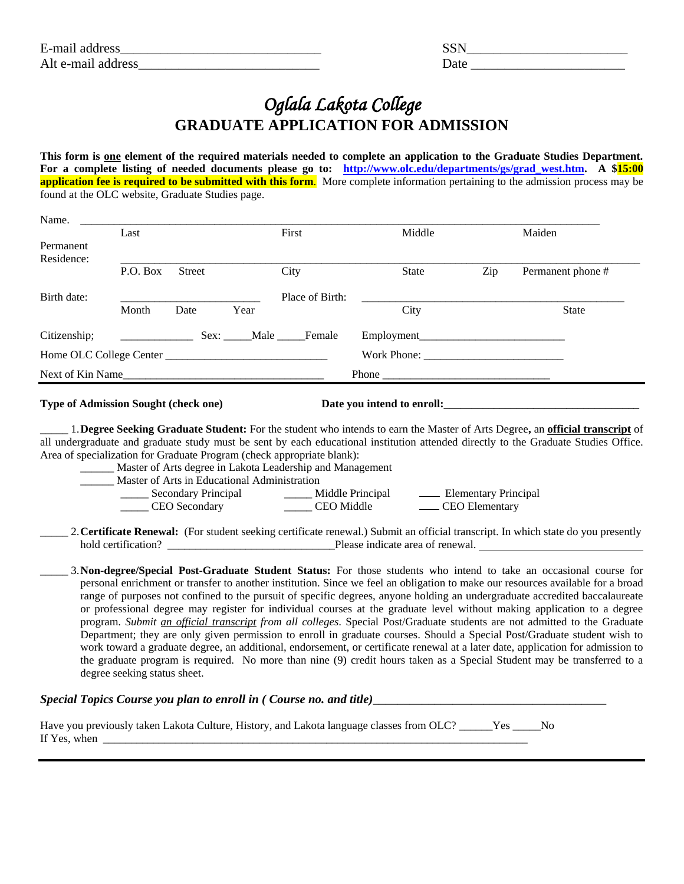| E-mail address     |  |
|--------------------|--|
| Alt e-mail address |  |

| E-mail<br>address     | ື້   |
|-----------------------|------|
| Alt e-mail<br>address | Date |

## *Oglala Lakota College*  **GRADUATE APPLICATION FOR ADMISSION**

**This form is one element of the required materials needed to complete an application to the Graduate Studies Department. For a complete listing of needed documents please go to: [http://www.olc.edu/departments/gs/grad\\_west.htm.](http://www.olc.edu/departments/gs/grad_west.htm) A \$15:00 application fee is required to be submitted with this form.** More complete information pertaining to the admission process may be found at the OLC website, Graduate Studies page.

| Name.            |          |               |      |                  |              |     |                   |
|------------------|----------|---------------|------|------------------|--------------|-----|-------------------|
|                  | Last     |               |      | First            | Middle       |     | Maiden            |
| Permanent        |          |               |      |                  |              |     |                   |
| Residence:       |          |               |      |                  |              |     |                   |
|                  | P.O. Box | <b>Street</b> |      | City             | <b>State</b> | Zip | Permanent phone # |
|                  |          |               |      |                  |              |     |                   |
| Birth date:      |          |               |      | Place of Birth:  |              |     |                   |
|                  | Month    | Date          | Year |                  | City         |     | <b>State</b>      |
| Citizenship;     |          |               |      | Sex: Male Female |              |     |                   |
|                  |          |               |      |                  | Work Phone:  |     |                   |
| Next of Kin Name |          |               |      |                  | <b>Phone</b> |     |                   |
|                  |          |               |      |                  |              |     |                   |

## **Type of Admission Sought (check one) Date you intend to enroll:\_\_\_\_\_\_\_\_\_\_\_\_\_\_\_\_\_\_\_\_\_\_\_\_\_\_\_\_\_\_\_\_\_\_\_**

\_\_\_\_\_ 1.**Degree Seeking Graduate Student:** For the student who intends to earn the Master of Arts Degree**,** an **official transcript** of all undergraduate and graduate study must be sent by each educational institution attended directly to the Graduate Studies Office. Area of specialization for Graduate Program (check appropriate blank):

| Master of Arts degree in Lakota Leadership and Management |  |
|-----------------------------------------------------------|--|
|-----------------------------------------------------------|--|

\_\_\_\_\_\_ Master of Arts in Educational Administration

| Secondary Principal | Middle Principal  | - Elementary Principal |
|---------------------|-------------------|------------------------|
| CEO Secondary       | <b>CEO</b> Middle | CEO Elementary         |

\_\_\_\_\_ 2.**Certificate Renewal:** (For student seeking certificate renewal.) Submit an official transcript. In which state do you presently hold certification? \_\_\_\_\_\_\_\_\_\_\_\_\_\_\_\_\_\_\_\_\_\_\_\_\_\_\_\_\_\_Please indicate area of renewal.

\_\_\_\_\_ 3.**Non-degree/Special Post-Graduate Student Status:** For those students who intend to take an occasional course for personal enrichment or transfer to another institution. Since we feel an obligation to make our resources available for a broad range of purposes not confined to the pursuit of specific degrees, anyone holding an undergraduate accredited baccalaureate or professional degree may register for individual courses at the graduate level without making application to a degree program. *Submit an official transcript from all colleges*. Special Post/Graduate students are not admitted to the Graduate Department; they are only given permission to enroll in graduate courses. Should a Special Post/Graduate student wish to work toward a graduate degree, an additional, endorsement, or certificate renewal at a later date, application for admission to the graduate program is required. No more than nine (9) credit hours taken as a Special Student may be transferred to a degree seeking status sheet.

## *Special Topics Course you plan to enroll in ( Course no. and title)\_\_\_\_\_\_\_\_\_\_\_\_\_\_\_\_\_\_\_\_\_\_\_\_\_\_\_\_\_\_\_\_\_\_\_\_\_\_*

| Have you previously taken Lakota Culture, History, and Lakota language classes from OLC? ______Yes _____No |  |
|------------------------------------------------------------------------------------------------------------|--|
| If Yes, when                                                                                               |  |
|                                                                                                            |  |